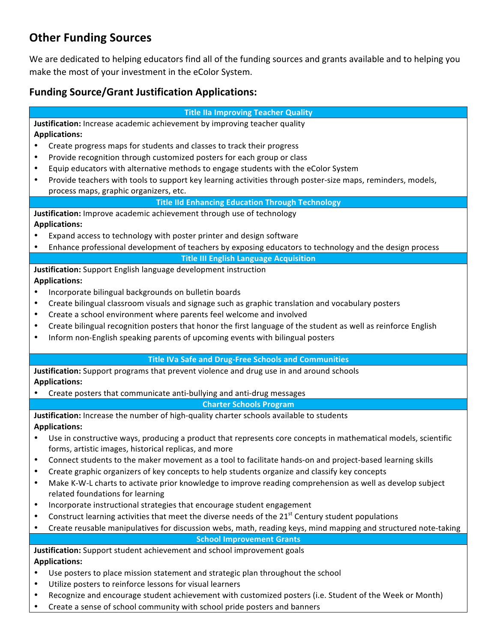# **Other Funding Sources**

We are dedicated to helping educators find all of the funding sources and grants available and to helping you make the most of your investment in the eColor System.

# **Funding Source/Grant Justification Applications:**

**Title IIa Improving Teacher Quality** 

**Justification:** Increase academic achievement by improving teacher quality **Applications:**

- Create progress maps for students and classes to track their progress
- Provide recognition through customized posters for each group or class
- Equip educators with alternative methods to engage students with the eColor System
- Provide teachers with tools to support key learning activities through poster-size maps, reminders, models, process maps, graphic organizers, etc.

**Title IId Enhancing Education Through Technology** 

**Justification:** Improve academic achievement through use of technology **Applications:**

- Expand access to technology with poster printer and design software
- Enhance professional development of teachers by exposing educators to technology and the design process

**Title III English Language Acquisition** 

**Justification:** Support English language development instruction

## **Applications:**

- Incorporate bilingual backgrounds on bulletin boards
- Create bilingual classroom visuals and signage such as graphic translation and vocabulary posters
- Create a school environment where parents feel welcome and involved
- Create bilingual recognition posters that honor the first language of the student as well as reinforce English
- Inform non-English speaking parents of upcoming events with bilingual posters

### **Title IVa Safe and Drug-Free Schools and Communities**

**Justification:** Support programs that prevent violence and drug use in and around schools **Applications:**

Create posters that communicate anti-bullying and anti-drug messages

**Charter Schools Program**

**Justification:** Increase the number of high-quality charter schools available to students **Applications:**

- Use in constructive ways, producing a product that represents core concepts in mathematical models, scientific forms, artistic images, historical replicas, and more
- Connect students to the maker movement as a tool to facilitate hands-on and project-based learning skills
- Create graphic organizers of key concepts to help students organize and classify key concepts
- Make K-W-L charts to activate prior knowledge to improve reading comprehension as well as develop subject related foundations for learning
- Incorporate instructional strategies that encourage student engagement
- Construct learning activities that meet the diverse needs of the  $21<sup>st</sup>$  Century student populations
- Create reusable manipulatives for discussion webs, math, reading keys, mind mapping and structured note-taking

**School Improvement Grants** 

**Justification:** Support student achievement and school improvement goals **Applications:**

- Use posters to place mission statement and strategic plan throughout the school
- Utilize posters to reinforce lessons for visual learners
- Recognize and encourage student achievement with customized posters (i.e. Student of the Week or Month)
- Create a sense of school community with school pride posters and banners